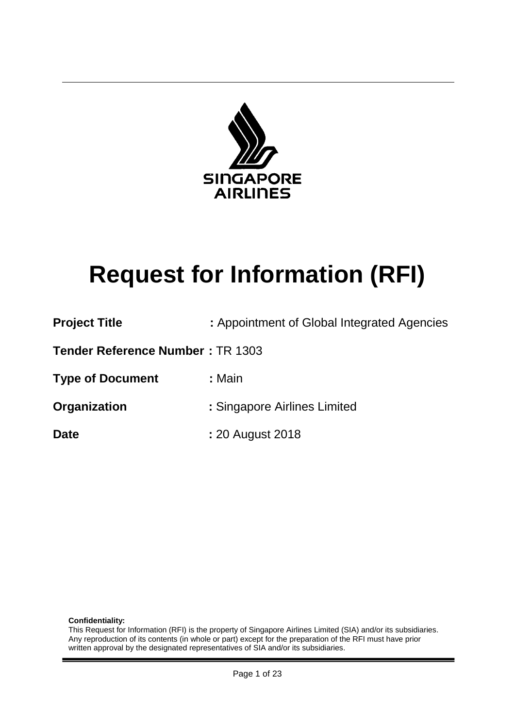

# **Request for Information (RFI)**

| <b>Project Title</b>                    | : Appointment of Global Integrated Agencies |
|-----------------------------------------|---------------------------------------------|
| <b>Tender Reference Number: TR 1303</b> |                                             |
| <b>Type of Document</b>                 | : Main                                      |
| Organization                            | : Singapore Airlines Limited                |
| <b>Date</b>                             | : 20 August 2018                            |

**Confidentiality:**

This Request for Information (RFI) is the property of Singapore Airlines Limited (SIA) and/or its subsidiaries. Any reproduction of its contents (in whole or part) except for the preparation of the RFI must have prior written approval by the designated representatives of SIA and/or its subsidiaries.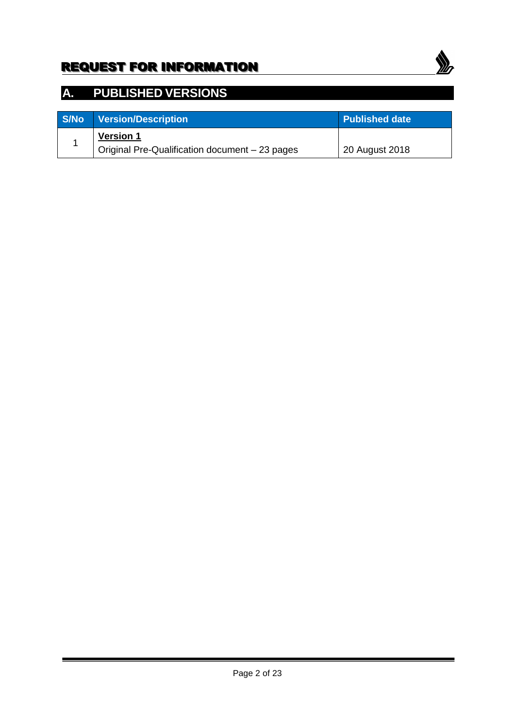

# **A. PUBLISHED VERSIONS**

| S/No Version/Description                       | Published date |
|------------------------------------------------|----------------|
| <b>Version 1</b>                               |                |
| Original Pre-Qualification document - 23 pages | 20 August 2018 |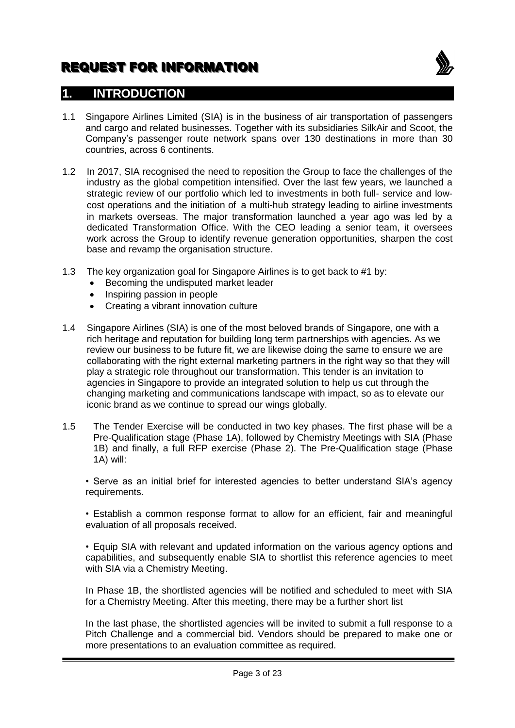

#### **1. INTRODUCTION**

- 1.1 Singapore Airlines Limited (SIA) is in the business of air transportation of passengers and cargo and related businesses. Together with its subsidiaries SilkAir and Scoot, the Company's passenger route network spans over 130 destinations in more than 30 countries, across 6 continents.
- 1.2 In 2017, SIA recognised the need to reposition the Group to face the challenges of the industry as the global competition intensified. Over the last few years, we launched a strategic review of our portfolio which led to investments in both full- service and lowcost operations and the initiation of a multi-hub strategy leading to airline investments in markets overseas. The major transformation launched a year ago was led by a dedicated Transformation Office. With the CEO leading a senior team, it oversees work across the Group to identify revenue generation opportunities, sharpen the cost base and revamp the organisation structure.
- 1.3 The key organization goal for Singapore Airlines is to get back to #1 by:
	- Becoming the undisputed market leader
	- Inspiring passion in people
	- Creating a vibrant innovation culture
- 1.4 Singapore Airlines (SIA) is one of the most beloved brands of Singapore, one with a rich heritage and reputation for building long term partnerships with agencies. As we review our business to be future fit, we are likewise doing the same to ensure we are collaborating with the right external marketing partners in the right way so that they will play a strategic role throughout our transformation. This tender is an invitation to agencies in Singapore to provide an integrated solution to help us cut through the changing marketing and communications landscape with impact, so as to elevate our iconic brand as we continue to spread our wings globally.
- 1.5 The Tender Exercise will be conducted in two key phases. The first phase will be a Pre-Qualification stage (Phase 1A), followed by Chemistry Meetings with SIA (Phase 1B) and finally, a full RFP exercise (Phase 2). The Pre-Qualification stage (Phase 1A) will:

• Serve as an initial brief for interested agencies to better understand SIA's agency requirements.

• Establish a common response format to allow for an efficient, fair and meaningful evaluation of all proposals received.

• Equip SIA with relevant and updated information on the various agency options and capabilities, and subsequently enable SIA to shortlist this reference agencies to meet with SIA via a Chemistry Meeting.

In Phase 1B, the shortlisted agencies will be notified and scheduled to meet with SIA for a Chemistry Meeting. After this meeting, there may be a further short list

In the last phase, the shortlisted agencies will be invited to submit a full response to a Pitch Challenge and a commercial bid. Vendors should be prepared to make one or more presentations to an evaluation committee as required.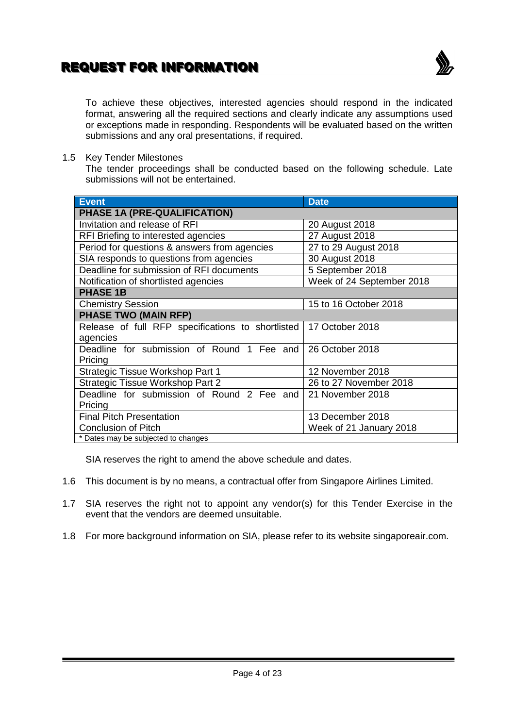

To achieve these objectives, interested agencies should respond in the indicated format, answering all the required sections and clearly indicate any assumptions used or exceptions made in responding. Respondents will be evaluated based on the written submissions and any oral presentations, if required.

#### 1.5 Key Tender Milestones

The tender proceedings shall be conducted based on the following schedule. Late submissions will not be entertained.

| <b>Event</b>                                      | <b>Date</b>               |
|---------------------------------------------------|---------------------------|
| PHASE 1A (PRE-QUALIFICATION)                      |                           |
| Invitation and release of RFI                     | 20 August 2018            |
| RFI Briefing to interested agencies               | 27 August 2018            |
| Period for questions & answers from agencies      | 27 to 29 August 2018      |
| SIA responds to questions from agencies           | 30 August 2018            |
| Deadline for submission of RFI documents          | 5 September 2018          |
| Notification of shortlisted agencies              | Week of 24 September 2018 |
| <b>PHASE 1B</b>                                   |                           |
| <b>Chemistry Session</b>                          | 15 to 16 October 2018     |
| <b>PHASE TWO (MAIN RFP)</b>                       |                           |
| Release of full RFP specifications to shortlisted | 17 October 2018           |
| agencies                                          |                           |
| Deadline for submission of Round 1 Fee and        | 26 October 2018           |
| Pricing                                           |                           |
| <b>Strategic Tissue Workshop Part 1</b>           | 12 November 2018          |
| <b>Strategic Tissue Workshop Part 2</b>           | 26 to 27 November 2018    |
| Deadline for submission of Round 2 Fee and        | 21 November 2018          |
| Pricing                                           |                           |
| <b>Final Pitch Presentation</b>                   | 13 December 2018          |
| <b>Conclusion of Pitch</b>                        | Week of 21 January 2018   |
| * Dates may be subjected to changes               |                           |

SIA reserves the right to amend the above schedule and dates.

- 1.6 This document is by no means, a contractual offer from Singapore Airlines Limited.
- 1.7 SIA reserves the right not to appoint any vendor(s) for this Tender Exercise in the event that the vendors are deemed unsuitable.
- 1.8 For more background information on SIA, please refer to its website singaporeair.com.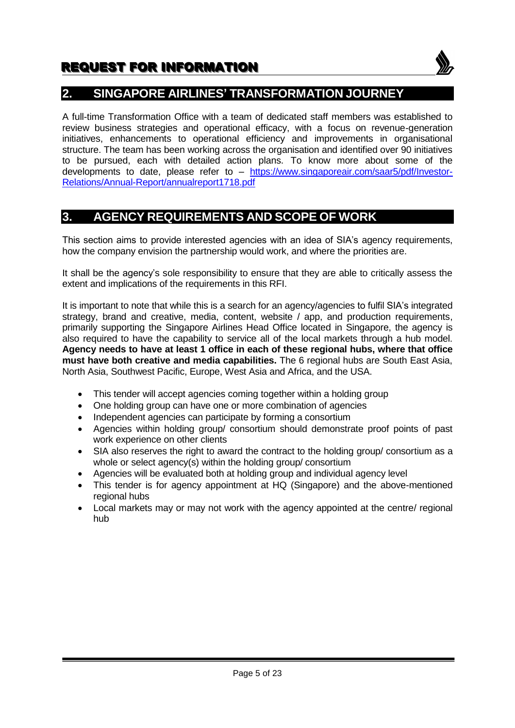

### **2. SINGAPORE AIRLINES' TRANSFORMATION JOURNEY**

A full-time Transformation Office with a team of dedicated staff members was established to review business strategies and operational efficacy, with a focus on revenue-generation initiatives, enhancements to operational efficiency and improvements in organisational structure. The team has been working across the organisation and identified over 90 initiatives to be pursued, each with detailed action plans. To know more about some of the developments to date, please refer to – [https://www.singaporeair.com/saar5/pdf/Investor-](https://www.singaporeair.com/saar5/pdf/Investor-Relations/Annual-Report/annualreport1718.pdf)[Relations/Annual-Report/annualreport1718.pdf](https://www.singaporeair.com/saar5/pdf/Investor-Relations/Annual-Report/annualreport1718.pdf)

### **3. AGENCY REQUIREMENTS AND SCOPE OF WORK**

This section aims to provide interested agencies with an idea of SIA's agency requirements, how the company envision the partnership would work, and where the priorities are.

It shall be the agency's sole responsibility to ensure that they are able to critically assess the extent and implications of the requirements in this RFI.

It is important to note that while this is a search for an agency/agencies to fulfil SIA's integrated strategy, brand and creative, media, content, website / app, and production requirements, primarily supporting the Singapore Airlines Head Office located in Singapore, the agency is also required to have the capability to service all of the local markets through a hub model. **Agency needs to have at least 1 office in each of these regional hubs, where that office must have both creative and media capabilities.** The 6 regional hubs are South East Asia, North Asia, Southwest Pacific, Europe, West Asia and Africa, and the USA.

- This tender will accept agencies coming together within a holding group
- One holding group can have one or more combination of agencies
- Independent agencies can participate by forming a consortium
- Agencies within holding group/ consortium should demonstrate proof points of past work experience on other clients
- SIA also reserves the right to award the contract to the holding group/ consortium as a whole or select agency(s) within the holding group/ consortium
- Agencies will be evaluated both at holding group and individual agency level
- This tender is for agency appointment at HQ (Singapore) and the above-mentioned regional hubs
- Local markets may or may not work with the agency appointed at the centre/ regional hub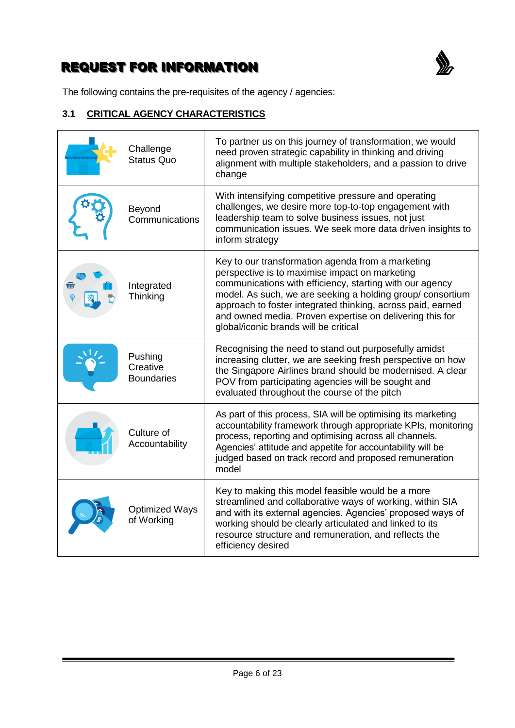

The following contains the pre-requisites of the agency / agencies:

### **3.1 CRITICAL AGENCY CHARACTERISTICS**

| Challenge<br><b>Status Quo</b>           | To partner us on this journey of transformation, we would<br>need proven strategic capability in thinking and driving<br>alignment with multiple stakeholders, and a passion to drive<br>change                                                                                                                                                                                                   |
|------------------------------------------|---------------------------------------------------------------------------------------------------------------------------------------------------------------------------------------------------------------------------------------------------------------------------------------------------------------------------------------------------------------------------------------------------|
| Beyond<br>Communications                 | With intensifying competitive pressure and operating<br>challenges, we desire more top-to-top engagement with<br>leadership team to solve business issues, not just<br>communication issues. We seek more data driven insights to<br>inform strategy                                                                                                                                              |
| Integrated<br>Thinking                   | Key to our transformation agenda from a marketing<br>perspective is to maximise impact on marketing<br>communications with efficiency, starting with our agency<br>model. As such, we are seeking a holding group/ consortium<br>approach to foster integrated thinking, across paid, earned<br>and owned media. Proven expertise on delivering this for<br>global/iconic brands will be critical |
| Pushing<br>Creative<br><b>Boundaries</b> | Recognising the need to stand out purposefully amidst<br>increasing clutter, we are seeking fresh perspective on how<br>the Singapore Airlines brand should be modernised. A clear<br>POV from participating agencies will be sought and<br>evaluated throughout the course of the pitch                                                                                                          |
| Culture of<br>Accountability             | As part of this process, SIA will be optimising its marketing<br>accountability framework through appropriate KPIs, monitoring<br>process, reporting and optimising across all channels.<br>Agencies' attitude and appetite for accountability will be<br>judged based on track record and proposed remuneration<br>model                                                                         |
| <b>Optimized Ways</b><br>of Working      | Key to making this model feasible would be a more<br>streamlined and collaborative ways of working, within SIA<br>and with its external agencies. Agencies' proposed ways of<br>working should be clearly articulated and linked to its<br>resource structure and remuneration, and reflects the<br>efficiency desired                                                                            |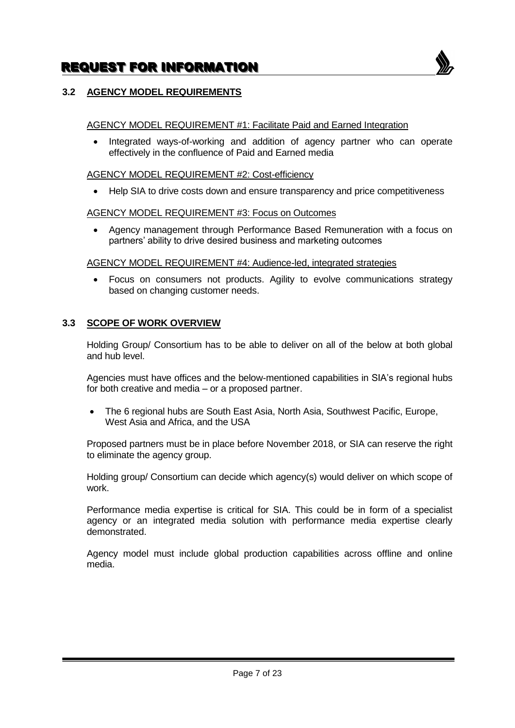

#### **3.2 AGENCY MODEL REQUIREMENTS**

#### AGENCY MODEL REQUIREMENT #1: Facilitate Paid and Earned Integration

• Integrated ways-of-working and addition of agency partner who can operate effectively in the confluence of Paid and Earned media

#### AGENCY MODEL REQUIREMENT #2: Cost-efficiency

Help SIA to drive costs down and ensure transparency and price competitiveness

#### AGENCY MODEL REQUIREMENT #3: Focus on Outcomes

 Agency management through Performance Based Remuneration with a focus on partners' ability to drive desired business and marketing outcomes

#### AGENCY MODEL REQUIREMENT #4: Audience-led, integrated strategies

 Focus on consumers not products. Agility to evolve communications strategy based on changing customer needs.

#### **3.3 SCOPE OF WORK OVERVIEW**

Holding Group/ Consortium has to be able to deliver on all of the below at both global and hub level.

Agencies must have offices and the below-mentioned capabilities in SIA's regional hubs for both creative and media – or a proposed partner.

 The 6 regional hubs are South East Asia, North Asia, Southwest Pacific, Europe, West Asia and Africa, and the USA

Proposed partners must be in place before November 2018, or SIA can reserve the right to eliminate the agency group.

Holding group/ Consortium can decide which agency(s) would deliver on which scope of work.

Performance media expertise is critical for SIA. This could be in form of a specialist agency or an integrated media solution with performance media expertise clearly demonstrated.

Agency model must include global production capabilities across offline and online media.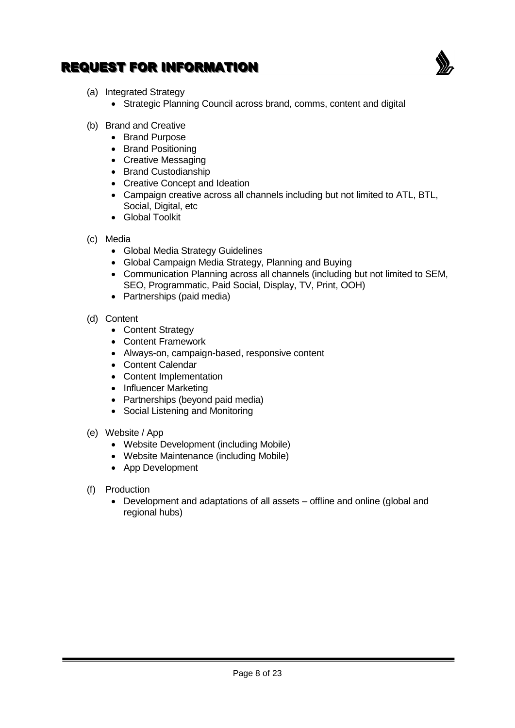# Global Toolkit

Creative Concept and Ideation

Social, Digital, etc

- (c) Media
	- Global Media Strategy Guidelines
	- Global Campaign Media Strategy, Planning and Buying
	- Communication Planning across all channels (including but not limited to SEM, SEO, Programmatic, Paid Social, Display, TV, Print, OOH)

Campaign creative across all channels including but not limited to ATL, BTL,

Strategic Planning Council across brand, comms, content and digital

- Partnerships (paid media)
- (d) Content
	- Content Strategy
	- Content Framework

REQUEST FOR INFORMATION

(a) Integrated Strategy

(b) Brand and Creative • Brand Purpose • Brand Positioning • Creative Messaging • Brand Custodianship

- Always-on, campaign-based, responsive content
- Content Calendar
- Content Implementation
- Influencer Marketing
- Partnerships (beyond paid media)
- Social Listening and Monitoring
- (e) Website / App
	- Website Development (including Mobile)
	- Website Maintenance (including Mobile)
	- App Development
- (f) Production
	- Development and adaptations of all assets offline and online (global and regional hubs)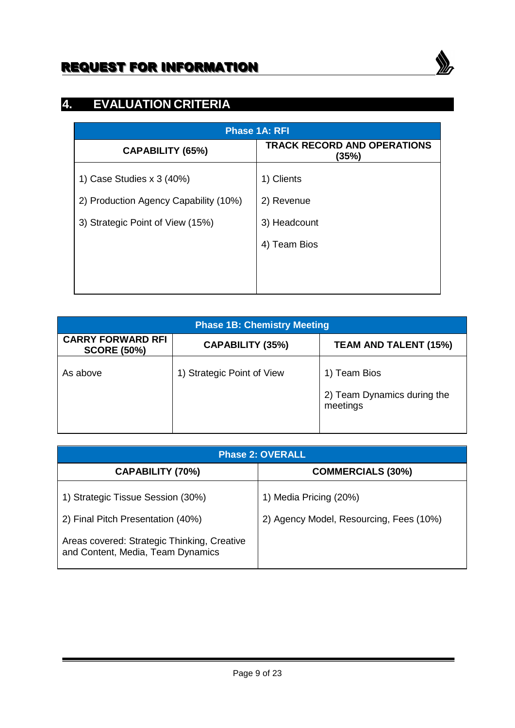

# **4. EVALUATION CRITERIA**

|                                       | <b>Phase 1A: RFI</b>                        |
|---------------------------------------|---------------------------------------------|
| CAPABILITY (65%)                      | <b>TRACK RECORD AND OPERATIONS</b><br>(35%) |
| 1) Case Studies x 3 (40%)             | 1) Clients                                  |
| 2) Production Agency Capability (10%) | 2) Revenue                                  |
| 3) Strategic Point of View (15%)      | 3) Headcount                                |
|                                       | 4) Team Bios                                |
|                                       |                                             |
|                                       |                                             |

|                                                | <b>Phase 1B: Chemistry Meeting</b> |                                                         |
|------------------------------------------------|------------------------------------|---------------------------------------------------------|
| <b>CARRY FORWARD RFI</b><br><b>SCORE (50%)</b> | <b>CAPABILITY (35%)</b>            | <b>TEAM AND TALENT (15%)</b>                            |
| As above                                       | 1) Strategic Point of View         | 1) Team Bios<br>2) Team Dynamics during the<br>meetings |

|                                                                                  | <b>Phase 2: OVERALL</b>                 |
|----------------------------------------------------------------------------------|-----------------------------------------|
| CAPABILITY (70%)                                                                 | <b>COMMERCIALS (30%)</b>                |
| 1) Strategic Tissue Session (30%)                                                | 1) Media Pricing (20%)                  |
| 2) Final Pitch Presentation (40%)                                                | 2) Agency Model, Resourcing, Fees (10%) |
| Areas covered: Strategic Thinking, Creative<br>and Content, Media, Team Dynamics |                                         |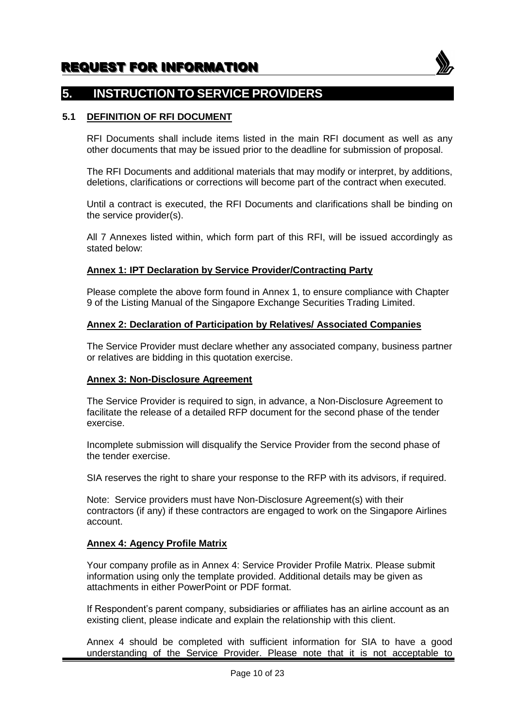

### **5. INSTRUCTION TO SERVICE PROVIDERS**

#### **5.1 DEFINITION OF RFI DOCUMENT**

RFI Documents shall include items listed in the main RFI document as well as any other documents that may be issued prior to the deadline for submission of proposal.

The RFI Documents and additional materials that may modify or interpret, by additions, deletions, clarifications or corrections will become part of the contract when executed.

Until a contract is executed, the RFI Documents and clarifications shall be binding on the service provider(s).

All 7 Annexes listed within, which form part of this RFI, will be issued accordingly as stated below:

#### **Annex 1: IPT Declaration by Service Provider/Contracting Party**

Please complete the above form found in Annex 1, to ensure compliance with Chapter 9 of the Listing Manual of the Singapore Exchange Securities Trading Limited.

#### **Annex 2: Declaration of Participation by Relatives/ Associated Companies**

The Service Provider must declare whether any associated company, business partner or relatives are bidding in this quotation exercise.

#### **Annex 3: Non-Disclosure Agreement**

The Service Provider is required to sign, in advance, a Non-Disclosure Agreement to facilitate the release of a detailed RFP document for the second phase of the tender exercise.

Incomplete submission will disqualify the Service Provider from the second phase of the tender exercise.

SIA reserves the right to share your response to the RFP with its advisors, if required.

Note: Service providers must have Non-Disclosure Agreement(s) with their contractors (if any) if these contractors are engaged to work on the Singapore Airlines account.

#### **Annex 4: Agency Profile Matrix**

Your company profile as in Annex 4: Service Provider Profile Matrix. Please submit information using only the template provided. Additional details may be given as attachments in either PowerPoint or PDF format.

If Respondent's parent company, subsidiaries or affiliates has an airline account as an existing client, please indicate and explain the relationship with this client.

Annex 4 should be completed with sufficient information for SIA to have a good understanding of the Service Provider. Please note that it is not acceptable to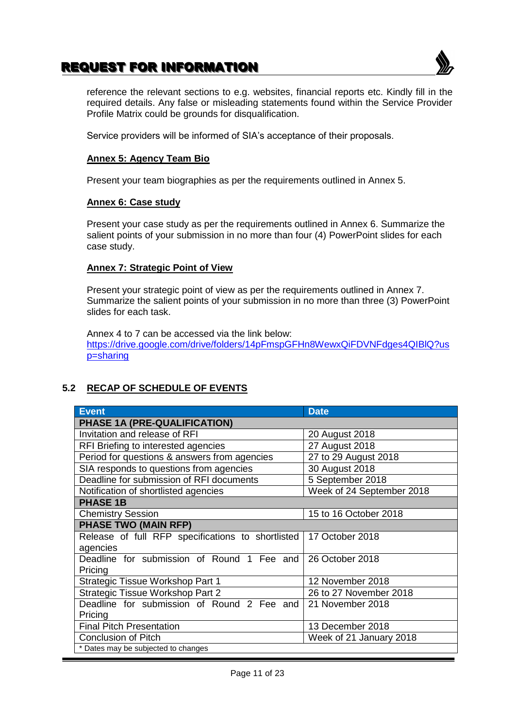

reference the relevant sections to e.g. websites, financial reports etc. Kindly fill in the required details. Any false or misleading statements found within the Service Provider Profile Matrix could be grounds for disqualification.

Service providers will be informed of SIA's acceptance of their proposals.

#### **Annex 5: Agency Team Bio**

Present your team biographies as per the requirements outlined in Annex 5.

#### **Annex 6: Case study**

Present your case study as per the requirements outlined in Annex 6. Summarize the salient points of your submission in no more than four (4) PowerPoint slides for each case study.

#### **Annex 7: Strategic Point of View**

Present your strategic point of view as per the requirements outlined in Annex 7. Summarize the salient points of your submission in no more than three (3) PowerPoint slides for each task.

Annex 4 to 7 can be accessed via the link below: [https://drive.google.com/drive/folders/14pFmspGFHn8WewxQiFDVNFdges4QIBlQ?us](https://drive.google.com/drive/folders/14pFmspGFHn8WewxQiFDVNFdges4QIBlQ?usp=sharing) [p=sharing](https://drive.google.com/drive/folders/14pFmspGFHn8WewxQiFDVNFdges4QIBlQ?usp=sharing)

#### **5.2 RECAP OF SCHEDULE OF EVENTS**

| <b>Event</b>                                               | <b>Date</b>               |
|------------------------------------------------------------|---------------------------|
| PHASE 1A (PRE-QUALIFICATION)                               |                           |
| Invitation and release of RFI                              | 20 August 2018            |
| RFI Briefing to interested agencies                        | 27 August 2018            |
| Period for questions & answers from agencies               | 27 to 29 August 2018      |
| SIA responds to questions from agencies                    | 30 August 2018            |
| Deadline for submission of RFI documents                   | 5 September 2018          |
| Notification of shortlisted agencies                       | Week of 24 September 2018 |
| <b>PHASE 1B</b>                                            |                           |
| <b>Chemistry Session</b>                                   | 15 to 16 October 2018     |
| <b>PHASE TWO (MAIN RFP)</b>                                |                           |
| Release of full RFP specifications to shortlisted          | 17 October 2018           |
| agencies                                                   |                           |
| Deadline for submission of Round 1 Fee and 26 October 2018 |                           |
| Pricing                                                    |                           |
| <b>Strategic Tissue Workshop Part 1</b>                    | 12 November 2018          |
| <b>Strategic Tissue Workshop Part 2</b>                    | 26 to 27 November 2018    |
| Deadline for submission of Round 2 Fee and                 | 21 November 2018          |
| Pricing                                                    |                           |
| <b>Final Pitch Presentation</b>                            | 13 December 2018          |
| <b>Conclusion of Pitch</b>                                 | Week of 21 January 2018   |
| * Dates may be subjected to changes                        |                           |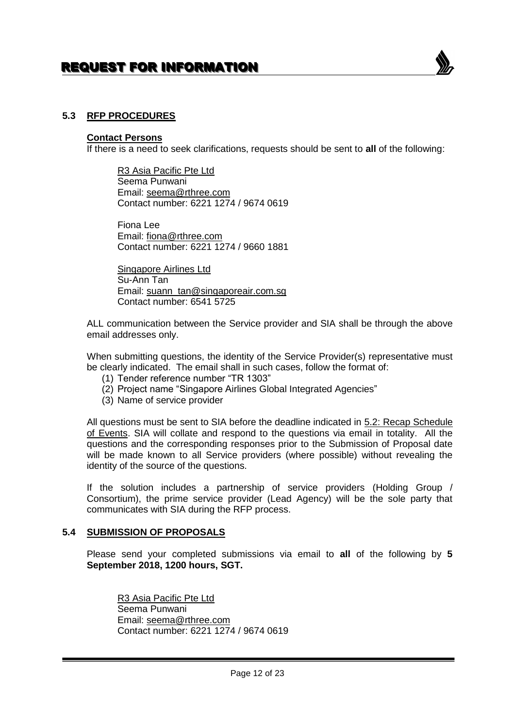

#### **5.3 RFP PROCEDURES**

#### **Contact Persons**

If there is a need to seek clarifications, requests should be sent to **all** of the following:

R3 Asia Pacific Pte Ltd Seema Punwani Email: [seema@rthree.com](mailto:seema@rthree.com) Contact number: 6221 1274 / 9674 0619

Fiona Lee Email: [fiona@rthree.com](mailto:fiona@rthree.com) Contact number: 6221 1274 / 9660 1881

Singapore Airlines Ltd Su-Ann Tan Email: suann\_tan@singaporeair.com.sg Contact number: 6541 5725

ALL communication between the Service provider and SIA shall be through the above email addresses only.

When submitting questions, the identity of the Service Provider(s) representative must be clearly indicated. The email shall in such cases, follow the format of:

- (1) Tender reference number "TR 1303"
- (2) Project name "Singapore Airlines Global Integrated Agencies"
- (3) Name of service provider

All questions must be sent to SIA before the deadline indicated in 5.2: Recap Schedule of Events. SIA will collate and respond to the questions via email in totality. All the questions and the corresponding responses prior to the Submission of Proposal date will be made known to all Service providers (where possible) without revealing the identity of the source of the questions.

If the solution includes a partnership of service providers (Holding Group / Consortium), the prime service provider (Lead Agency) will be the sole party that communicates with SIA during the RFP process.

#### **5.4 SUBMISSION OF PROPOSALS**

Please send your completed submissions via email to **all** of the following by **5 September 2018, 1200 hours, SGT.**

R3 Asia Pacific Pte Ltd Seema Punwani Email: [seema@rthree.com](mailto:seema@rthree.com) Contact number: 6221 1274 / 9674 0619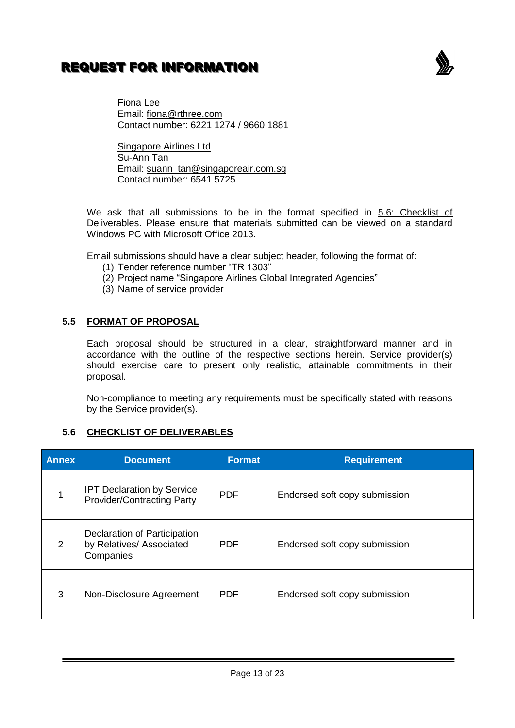

Fiona Lee Email: [fiona@rthree.com](mailto:fiona@rthree.com) Contact number: 6221 1274 / 9660 1881

Singapore Airlines Ltd Su-Ann Tan Email: [suann\\_tan@singaporeair.com.sg](mailto:suann_tan@singaporeair.com.sg)  Contact number: 6541 5725

We ask that all submissions to be in the format specified in 5.6: Checklist of Deliverables. Please ensure that materials submitted can be viewed on a standard Windows PC with Microsoft Office 2013.

Email submissions should have a clear subject header, following the format of:

- (1) Tender reference number "TR 1303"
- (2) Project name "Singapore Airlines Global Integrated Agencies"
- (3) Name of service provider

#### **5.5 FORMAT OF PROPOSAL**

Each proposal should be structured in a clear, straightforward manner and in accordance with the outline of the respective sections herein. Service provider(s) should exercise care to present only realistic, attainable commitments in their proposal.

Non-compliance to meeting any requirements must be specifically stated with reasons by the Service provider(s).

#### **5.6 CHECKLIST OF DELIVERABLES**

| <b>Annex</b> | <b>Document</b>                                                        | <b>Format</b> | <b>Requirement</b>            |
|--------------|------------------------------------------------------------------------|---------------|-------------------------------|
|              | <b>IPT Declaration by Service</b><br><b>Provider/Contracting Party</b> | <b>PDF</b>    | Endorsed soft copy submission |
| 2            | Declaration of Participation<br>by Relatives/ Associated<br>Companies  | <b>PDF</b>    | Endorsed soft copy submission |
| 3            | Non-Disclosure Agreement                                               | <b>PDF</b>    | Endorsed soft copy submission |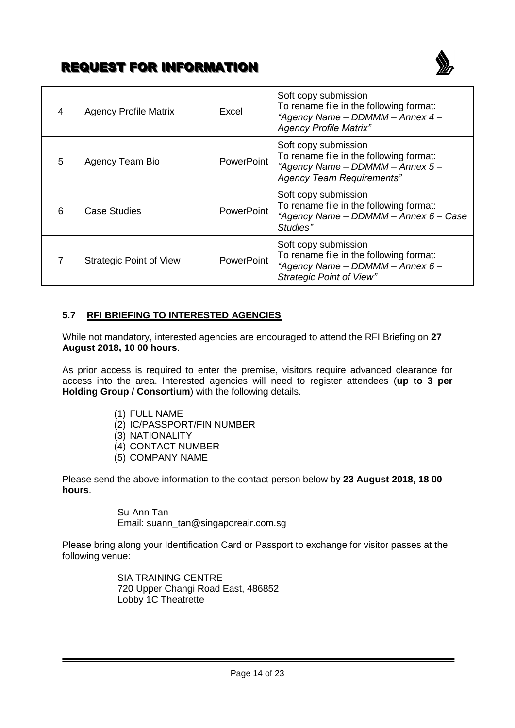

| 4 | <b>Agency Profile Matrix</b>   | Excel             | Soft copy submission<br>To rename file in the following format:<br>"Agency Name - DDMMM - Annex 4-<br><b>Agency Profile Matrix"</b>    |
|---|--------------------------------|-------------------|----------------------------------------------------------------------------------------------------------------------------------------|
| 5 | Agency Team Bio                | PowerPoint        | Soft copy submission<br>To rename file in the following format:<br>"Agency Name - DDMMM - Annex 5-<br><b>Agency Team Requirements"</b> |
| 6 | <b>Case Studies</b>            | <b>PowerPoint</b> | Soft copy submission<br>To rename file in the following format:<br>"Agency Name - DDMMM - Annex 6 - Case<br>Studies"                   |
|   | <b>Strategic Point of View</b> | PowerPoint        | Soft copy submission<br>To rename file in the following format:<br>"Agency Name - DDMMM - Annex 6-<br>Strategic Point of View"         |

#### **5.7 RFI BRIEFING TO INTERESTED AGENCIES**

While not mandatory, interested agencies are encouraged to attend the RFI Briefing on **27 August 2018, 10 00 hours**.

As prior access is required to enter the premise, visitors require advanced clearance for access into the area. Interested agencies will need to register attendees (**up to 3 per Holding Group / Consortium**) with the following details.

- (1) FULL NAME
- (2) IC/PASSPORT/FIN NUMBER
- (3) NATIONALITY
- (4) CONTACT NUMBER
- (5) COMPANY NAME

Please send the above information to the contact person below by **23 August 2018, 18 00 hours**.

> Su-Ann Tan Email: [suann\\_tan@singaporeair.com.sg](mailto:suann_tan@singaporeair.com.sg)

Please bring along your Identification Card or Passport to exchange for visitor passes at the following venue:

> SIA TRAINING CENTRE 720 Upper Changi Road East, 486852 Lobby 1C Theatrette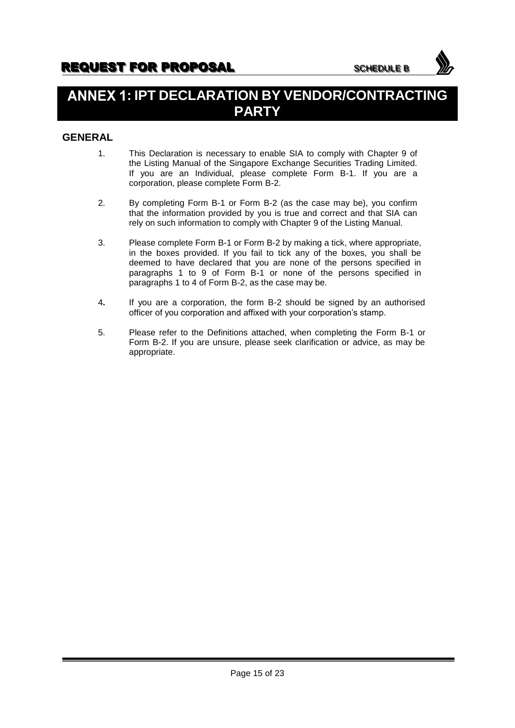### **: IPT DECLARATION BY VENDOR/CONTRACTING PARTY**

#### **GENERAL**

- 1. This Declaration is necessary to enable SIA to comply with Chapter 9 of the Listing Manual of the Singapore Exchange Securities Trading Limited. If you are an Individual, please complete Form B-1. If you are a corporation, please complete Form B-2.
- 2. By completing Form B-1 or Form B-2 (as the case may be), you confirm that the information provided by you is true and correct and that SIA can rely on such information to comply with Chapter 9 of the Listing Manual.
- 3. Please complete Form B-1 or Form B-2 by making a tick, where appropriate, in the boxes provided. If you fail to tick any of the boxes, you shall be deemed to have declared that you are none of the persons specified in paragraphs 1 to 9 of Form B-1 or none of the persons specified in paragraphs 1 to 4 of Form B-2, as the case may be.
- 4**.** If you are a corporation, the form B-2 should be signed by an authorised officer of you corporation and affixed with your corporation's stamp.
- 5. Please refer to the Definitions attached, when completing the Form B-1 or Form B-2. If you are unsure, please seek clarification or advice, as may be appropriate.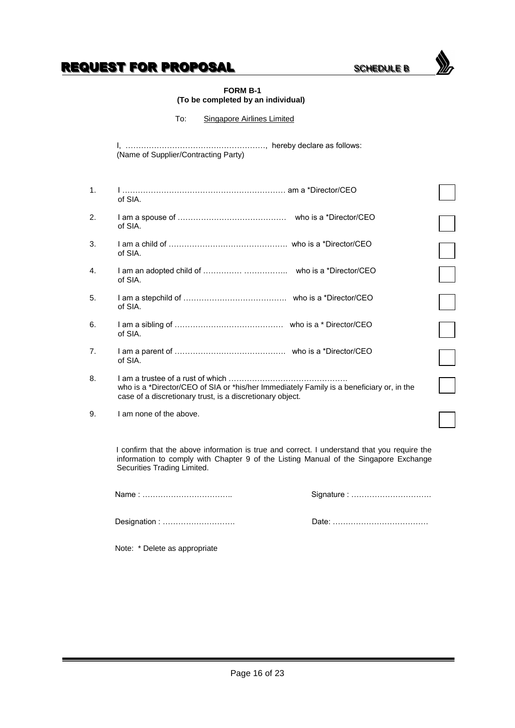#### **FORM B-1 (To be completed by an individual)**

#### To: Singapore Airlines Limited

I, ………………………………………………, hereby declare as follows: (Name of Supplier/Contracting Party)

| 1 <sub>1</sub> | of SIA.                                                                                                                                                                                                            |             |  |
|----------------|--------------------------------------------------------------------------------------------------------------------------------------------------------------------------------------------------------------------|-------------|--|
| 2.             | of SIA.                                                                                                                                                                                                            |             |  |
| 3.             | of SIA.                                                                                                                                                                                                            |             |  |
| 4.             | of SIA.                                                                                                                                                                                                            |             |  |
| 5.             | of SIA.                                                                                                                                                                                                            |             |  |
| 6.             | of SIA.                                                                                                                                                                                                            |             |  |
| 7 <sub>1</sub> | of SIA.                                                                                                                                                                                                            |             |  |
| 8.             | who is a *Director/CEO of SIA or *his/her Immediately Family is a beneficiary or, in the<br>case of a discretionary trust, is a discretionary object.                                                              |             |  |
| 9.             | I am none of the above.                                                                                                                                                                                            |             |  |
|                | I confirm that the above information is true and correct. I understand that you require the<br>information to comply with Chapter 9 of the Listing Manual of the Singapore Exchange<br>Securities Trading Limited. |             |  |
|                |                                                                                                                                                                                                                    | Signature : |  |
|                |                                                                                                                                                                                                                    |             |  |

Note: \* Delete as appropriate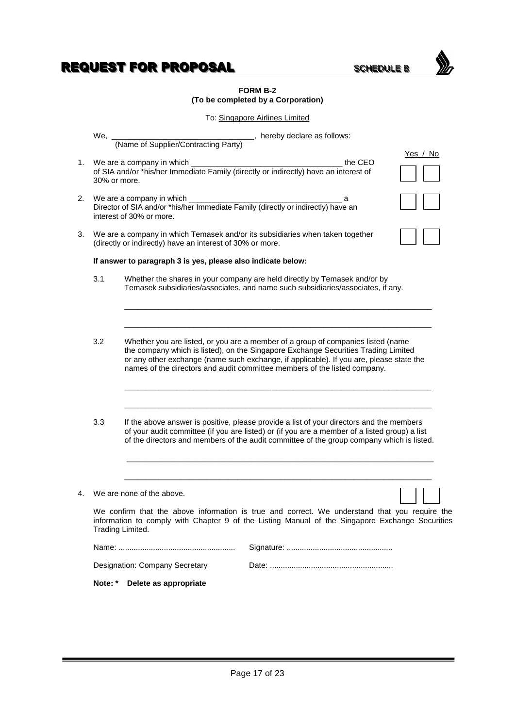|    |            | <b>FORM B-2</b><br>(To be completed by a Corporation)                                                                                                                                                                                                                                  |          |
|----|------------|----------------------------------------------------------------------------------------------------------------------------------------------------------------------------------------------------------------------------------------------------------------------------------------|----------|
|    |            | To: Singapore Airlines Limited                                                                                                                                                                                                                                                         |          |
|    | $We, \_\_$ | (Name of Supplier/Contracting Party) (Name of Supplier/Contracting Party)                                                                                                                                                                                                              |          |
| 1. |            | <b>Example 1</b> the CEO<br>30% or more.                                                                                                                                                                                                                                               | Yes / No |
| 2. |            | a<br>Director of SIA and/or *his/her Immediate Family (directly or indirectly) have an<br>interest of 30% or more.                                                                                                                                                                     |          |
| 3. |            | We are a company in which Temasek and/or its subsidiaries when taken together<br>(directly or indirectly) have an interest of 30% or more.                                                                                                                                             |          |
|    |            | If answer to paragraph 3 is yes, please also indicate below:                                                                                                                                                                                                                           |          |
|    | 3.1        | Whether the shares in your company are held directly by Temasek and/or by<br>Temasek subsidiaries/associates, and name such subsidiaries/associates, if any.                                                                                                                           |          |
|    | 3.2        | Whether you are listed, or you are a member of a group of companies listed (name                                                                                                                                                                                                       |          |
|    |            | the company which is listed), on the Singapore Exchange Securities Trading Limited<br>or any other exchange (name such exchange, if applicable). If you are, please state the<br>names of the directors and audit committee members of the listed company.                             |          |
|    | 3.3        | If the above answer is positive, please provide a list of your directors and the members<br>of your audit committee (if you are listed) or (if you are a member of a listed group) a list<br>of the directors and members of the audit committee of the group company which is listed. |          |
|    |            | We are none of the above.                                                                                                                                                                                                                                                              |          |
|    |            | We confirm that the above information is true and correct. We understand that you require the<br>information to comply with Chapter 9 of the Listing Manual of the Singapore Exchange Securities<br>Trading Limited.                                                                   |          |
| 4. |            |                                                                                                                                                                                                                                                                                        |          |

S.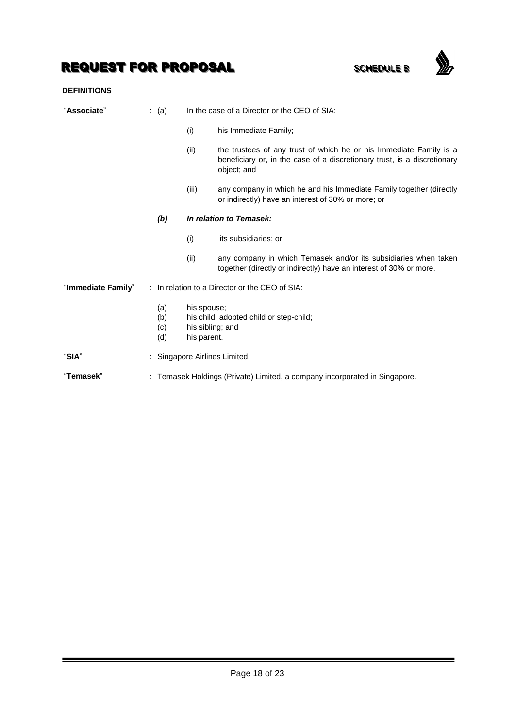#### **DEFINITIONS**

| "Associate"        |  | (a)                                                                      | In the case of a Director or the CEO of SIA:                                              |                                                                                                                                                               |  |
|--------------------|--|--------------------------------------------------------------------------|-------------------------------------------------------------------------------------------|---------------------------------------------------------------------------------------------------------------------------------------------------------------|--|
|                    |  |                                                                          | (i)                                                                                       | his Immediate Family;                                                                                                                                         |  |
|                    |  |                                                                          | (ii)                                                                                      | the trustees of any trust of which he or his Immediate Family is a<br>beneficiary or, in the case of a discretionary trust, is a discretionary<br>object; and |  |
|                    |  |                                                                          | (iii)                                                                                     | any company in which he and his Immediate Family together (directly<br>or indirectly) have an interest of 30% or more; or                                     |  |
|                    |  | (b)                                                                      | In relation to Temasek:                                                                   |                                                                                                                                                               |  |
|                    |  |                                                                          | (i)                                                                                       | its subsidiaries; or                                                                                                                                          |  |
|                    |  |                                                                          | (ii)                                                                                      | any company in which Temasek and/or its subsidiaries when taken<br>together (directly or indirectly) have an interest of 30% or more.                         |  |
| "Immediate Family" |  | : In relation to a Director or the CEO of SIA:                           |                                                                                           |                                                                                                                                                               |  |
|                    |  | (a)<br>(b)<br>(c)<br>(d)                                                 | his spouse;<br>his child, adopted child or step-child;<br>his sibling; and<br>his parent. |                                                                                                                                                               |  |
| "SIA"              |  |                                                                          | Singapore Airlines Limited.                                                               |                                                                                                                                                               |  |
| "Temasek"          |  | Temasek Holdings (Private) Limited, a company incorporated in Singapore. |                                                                                           |                                                                                                                                                               |  |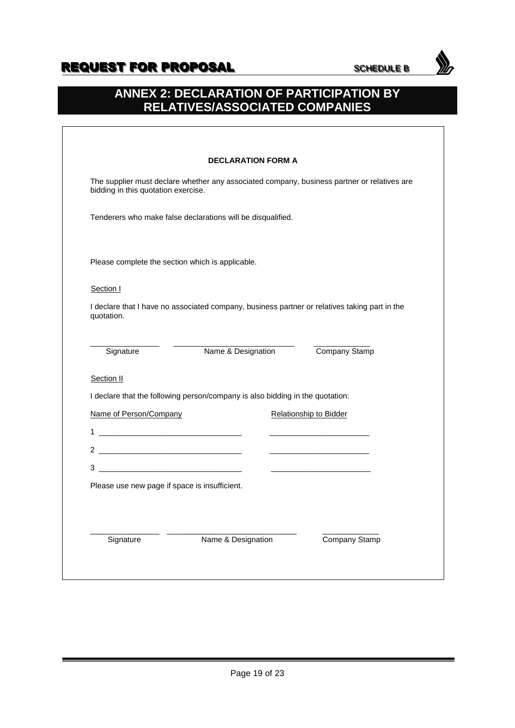$\Gamma$ 

### **ANNEX 2: DECLARATION OF PARTICIPATION BY RELATIVES/ASSOCIATED COMPANIES**

| The supplier must declare whether any associated company, business partner or relatives are<br>bidding in this quotation exercise.<br>Tenderers who make false declarations will be disqualified.<br>Please complete the section which is applicable.<br>Section I<br>I declare that I have no associated company, business partner or relatives taking part in the<br>quotation.<br>Company Stamp<br>Name & Designation<br>Signature<br>Section II<br>I declare that the following person/company is also bidding in the quotation:<br>Name of Person/Company<br><b>Relationship to Bidder</b><br>1<br>$\begin{tabular}{c} 3 & \begin{tabular}{@{}c@{}} \end{tabular} \end{tabular}$<br>Please use new page if space is insufficient. | <b>DECLARATION FORM A</b> |  |
|----------------------------------------------------------------------------------------------------------------------------------------------------------------------------------------------------------------------------------------------------------------------------------------------------------------------------------------------------------------------------------------------------------------------------------------------------------------------------------------------------------------------------------------------------------------------------------------------------------------------------------------------------------------------------------------------------------------------------------------|---------------------------|--|
|                                                                                                                                                                                                                                                                                                                                                                                                                                                                                                                                                                                                                                                                                                                                        |                           |  |
|                                                                                                                                                                                                                                                                                                                                                                                                                                                                                                                                                                                                                                                                                                                                        |                           |  |
|                                                                                                                                                                                                                                                                                                                                                                                                                                                                                                                                                                                                                                                                                                                                        |                           |  |
|                                                                                                                                                                                                                                                                                                                                                                                                                                                                                                                                                                                                                                                                                                                                        |                           |  |
|                                                                                                                                                                                                                                                                                                                                                                                                                                                                                                                                                                                                                                                                                                                                        |                           |  |
|                                                                                                                                                                                                                                                                                                                                                                                                                                                                                                                                                                                                                                                                                                                                        |                           |  |
|                                                                                                                                                                                                                                                                                                                                                                                                                                                                                                                                                                                                                                                                                                                                        |                           |  |
|                                                                                                                                                                                                                                                                                                                                                                                                                                                                                                                                                                                                                                                                                                                                        |                           |  |
|                                                                                                                                                                                                                                                                                                                                                                                                                                                                                                                                                                                                                                                                                                                                        |                           |  |
|                                                                                                                                                                                                                                                                                                                                                                                                                                                                                                                                                                                                                                                                                                                                        |                           |  |
|                                                                                                                                                                                                                                                                                                                                                                                                                                                                                                                                                                                                                                                                                                                                        |                           |  |
|                                                                                                                                                                                                                                                                                                                                                                                                                                                                                                                                                                                                                                                                                                                                        |                           |  |
|                                                                                                                                                                                                                                                                                                                                                                                                                                                                                                                                                                                                                                                                                                                                        |                           |  |
|                                                                                                                                                                                                                                                                                                                                                                                                                                                                                                                                                                                                                                                                                                                                        |                           |  |
| Company Stamp<br>Signature<br>Name & Designation                                                                                                                                                                                                                                                                                                                                                                                                                                                                                                                                                                                                                                                                                       |                           |  |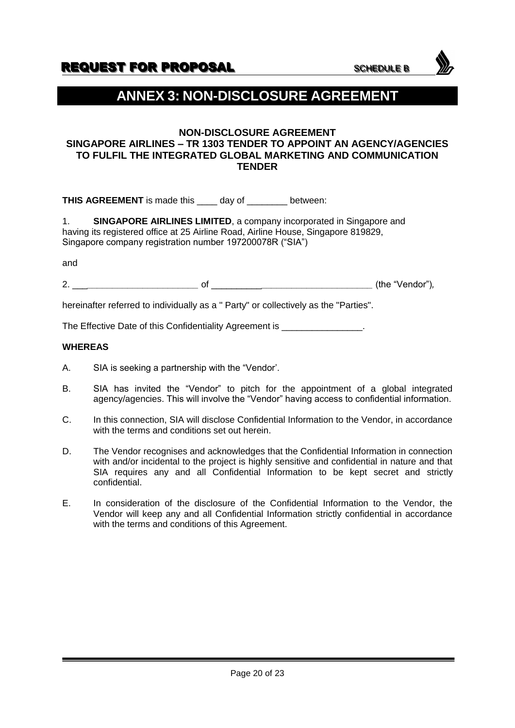

#### **NON-DISCLOSURE AGREEMENT SINGAPORE AIRLINES – TR 1303 TENDER TO APPOINT AN AGENCY/AGENCIES TO FULFIL THE INTEGRATED GLOBAL MARKETING AND COMMUNICATION TENDER**

**THIS AGREEMENT** is made this day of between:

1. **SINGAPORE AIRLINES LIMITED**, a company incorporated in Singapore and having its registered office at 25 Airline Road, Airline House, Singapore 819829, Singapore company registration number 197200078R ("SIA")

and

2. \_\_\_*\_\_\_\_\_\_\_\_\_\_\_\_\_\_\_\_\_\_\_\_\_\_* of \_\_\_\_\_\_\_\_\_\_*\_\_\_\_\_\_\_\_\_\_\_\_\_\_\_\_\_\_\_\_\_\_* (the "Vendor")*,*

hereinafter referred to individually as a " Party" or collectively as the "Parties".

The Effective Date of this Confidentiality Agreement is \_\_\_\_\_\_\_\_\_\_\_

#### **WHEREAS**

- A. SIA is seeking a partnership with the "Vendor'.
- B. SIA has invited the "Vendor" to pitch for the appointment of a global integrated agency/agencies. This will involve the "Vendor" having access to confidential information.
- C. In this connection, SIA will disclose Confidential Information to the Vendor, in accordance with the terms and conditions set out herein.
- D. The Vendor recognises and acknowledges that the Confidential Information in connection with and/or incidental to the project is highly sensitive and confidential in nature and that SIA requires any and all Confidential Information to be kept secret and strictly confidential.
- E. In consideration of the disclosure of the Confidential Information to the Vendor, the Vendor will keep any and all Confidential Information strictly confidential in accordance with the terms and conditions of this Agreement.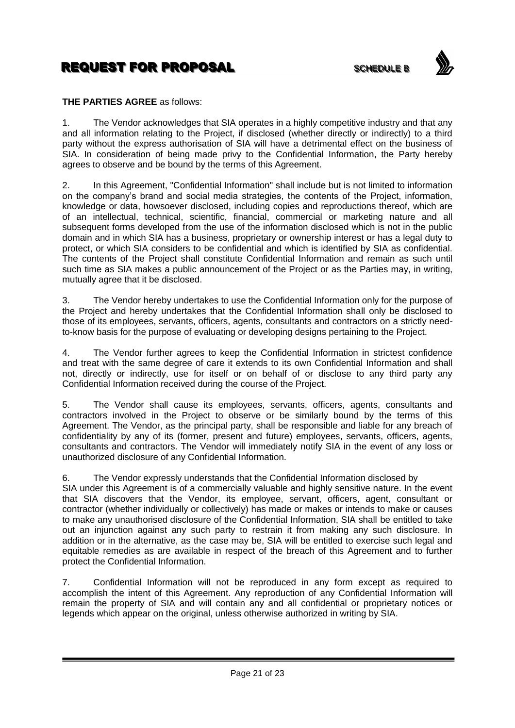#### **THE PARTIES AGREE** as follows:

1. The Vendor acknowledges that SIA operates in a highly competitive industry and that any and all information relating to the Project, if disclosed (whether directly or indirectly) to a third party without the express authorisation of SIA will have a detrimental effect on the business of SIA. In consideration of being made privy to the Confidential Information, the Party hereby agrees to observe and be bound by the terms of this Agreement.

2. In this Agreement, "Confidential Information" shall include but is not limited to information on the company's brand and social media strategies, the contents of the Project, information, knowledge or data, howsoever disclosed, including copies and reproductions thereof, which are of an intellectual, technical, scientific, financial, commercial or marketing nature and all subsequent forms developed from the use of the information disclosed which is not in the public domain and in which SIA has a business, proprietary or ownership interest or has a legal duty to protect, or which SIA considers to be confidential and which is identified by SIA as confidential. The contents of the Project shall constitute Confidential Information and remain as such until such time as SIA makes a public announcement of the Project or as the Parties may, in writing, mutually agree that it be disclosed.

3. The Vendor hereby undertakes to use the Confidential Information only for the purpose of the Project and hereby undertakes that the Confidential Information shall only be disclosed to those of its employees, servants, officers, agents, consultants and contractors on a strictly needto-know basis for the purpose of evaluating or developing designs pertaining to the Project.

4. The Vendor further agrees to keep the Confidential Information in strictest confidence and treat with the same degree of care it extends to its own Confidential Information and shall not, directly or indirectly, use for itself or on behalf of or disclose to any third party any Confidential Information received during the course of the Project.

5. The Vendor shall cause its employees, servants, officers, agents, consultants and contractors involved in the Project to observe or be similarly bound by the terms of this Agreement. The Vendor, as the principal party, shall be responsible and liable for any breach of confidentiality by any of its (former, present and future) employees, servants, officers, agents, consultants and contractors. The Vendor will immediately notify SIA in the event of any loss or unauthorized disclosure of any Confidential Information.

6. The Vendor expressly understands that the Confidential Information disclosed by

SIA under this Agreement is of a commercially valuable and highly sensitive nature. In the event that SIA discovers that the Vendor, its employee, servant, officers, agent, consultant or contractor (whether individually or collectively) has made or makes or intends to make or causes to make any unauthorised disclosure of the Confidential Information, SIA shall be entitled to take out an injunction against any such party to restrain it from making any such disclosure. In addition or in the alternative, as the case may be, SIA will be entitled to exercise such legal and equitable remedies as are available in respect of the breach of this Agreement and to further protect the Confidential Information.

7. Confidential Information will not be reproduced in any form except as required to accomplish the intent of this Agreement. Any reproduction of any Confidential Information will remain the property of SIA and will contain any and all confidential or proprietary notices or legends which appear on the original, unless otherwise authorized in writing by SIA.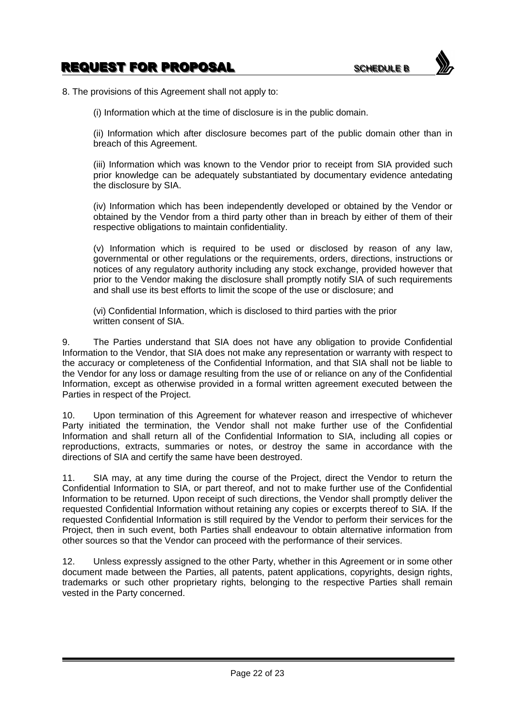8. The provisions of this Agreement shall not apply to:

(i) Information which at the time of disclosure is in the public domain.

(ii) Information which after disclosure becomes part of the public domain other than in breach of this Agreement.

(iii) Information which was known to the Vendor prior to receipt from SIA provided such prior knowledge can be adequately substantiated by documentary evidence antedating the disclosure by SIA.

(iv) Information which has been independently developed or obtained by the Vendor or obtained by the Vendor from a third party other than in breach by either of them of their respective obligations to maintain confidentiality.

(v) Information which is required to be used or disclosed by reason of any law, governmental or other regulations or the requirements, orders, directions, instructions or notices of any regulatory authority including any stock exchange, provided however that prior to the Vendor making the disclosure shall promptly notify SIA of such requirements and shall use its best efforts to limit the scope of the use or disclosure; and

(vi) Confidential Information, which is disclosed to third parties with the prior written consent of SIA.

9. The Parties understand that SIA does not have any obligation to provide Confidential Information to the Vendor, that SIA does not make any representation or warranty with respect to the accuracy or completeness of the Confidential Information, and that SIA shall not be liable to the Vendor for any loss or damage resulting from the use of or reliance on any of the Confidential Information, except as otherwise provided in a formal written agreement executed between the Parties in respect of the Project.

10. Upon termination of this Agreement for whatever reason and irrespective of whichever Party initiated the termination, the Vendor shall not make further use of the Confidential Information and shall return all of the Confidential Information to SIA, including all copies or reproductions, extracts, summaries or notes, or destroy the same in accordance with the directions of SIA and certify the same have been destroyed.

11. SIA may, at any time during the course of the Project, direct the Vendor to return the Confidential Information to SIA, or part thereof, and not to make further use of the Confidential Information to be returned. Upon receipt of such directions, the Vendor shall promptly deliver the requested Confidential Information without retaining any copies or excerpts thereof to SIA. If the requested Confidential Information is still required by the Vendor to perform their services for the Project, then in such event, both Parties shall endeavour to obtain alternative information from other sources so that the Vendor can proceed with the performance of their services.

12. Unless expressly assigned to the other Party, whether in this Agreement or in some other document made between the Parties, all patents, patent applications, copyrights, design rights, trademarks or such other proprietary rights, belonging to the respective Parties shall remain vested in the Party concerned.